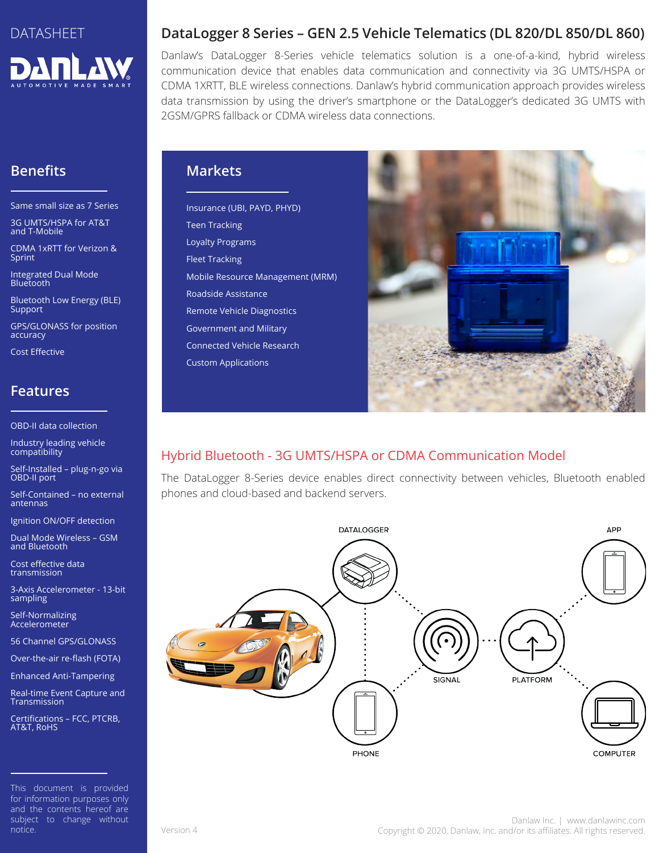

# **Benefits**

Same small size as 7 Series

3G UMTS/HSPA for AT&T and T-Mobile

CDMA 1xRTT for Verizon & Sprint

Integrated Dual Mode Bluetooth

Bluetooth Low Energy (BLE) **Support** 

GPS/GLONASS for position accuracy

Cost Effective

## **Features**

OBD-II data collection

Industry leading vehicle compatibility

Self-Installed – plug-n-go via OBD-II port

Self-Contained – no external antennas

Ignition ON/OFF detection

Dual Mode Wireless – GSM and Bluetooth

Cost effective data transmission

3-Axis Accelerometer - 13-bit sampling

Self-Normalizing Accelerometer

56 Channel GPS/GLONASS

Over-the-air re-flash (FOTA)

Enhanced Anti-Tampering

Real-time Event Capture and Transmission

Certifications – FCC, PTCRB, AT&T, RoHS

This document is provided for information purposes only and the contents hereof are subject to change without notice.

### **DataLogger 8 Series – GEN 2.5 Vehicle Telematics (DL 820/DL 850/DL 860)**

Danlaw's DataLogger 8-Series vehicle telematics solution is a one-of-a-kind, hybrid wireless communication device that enables data communication and connectivity via 3G UMTS/HSPA or CDMA 1XRTT, BLE wireless connections. Danlaw's hybrid communication approach provides wireless data transmission by using the driver's smartphone or the DataLogger's dedicated 3G UMTS with 2GSM/GPRS fallback or CDMA wireless data connections.

### **Markets**

Insurance (UBI, PAYD, PHYD) Teen Tracking Loyalty Programs Fleet Tracking Mobile Resource Management (MRM) Roadside Assistance Remote Vehicle Diagnostics Government and Military Connected Vehicle Research Custom Applications



# Hybrid Bluetooth - 3G UMTS/HSPA or CDMA Communication Model

The DataLogger 8-Series device enables direct connectivity between vehicles, Bluetooth enabled phones and cloud-based and backend servers.

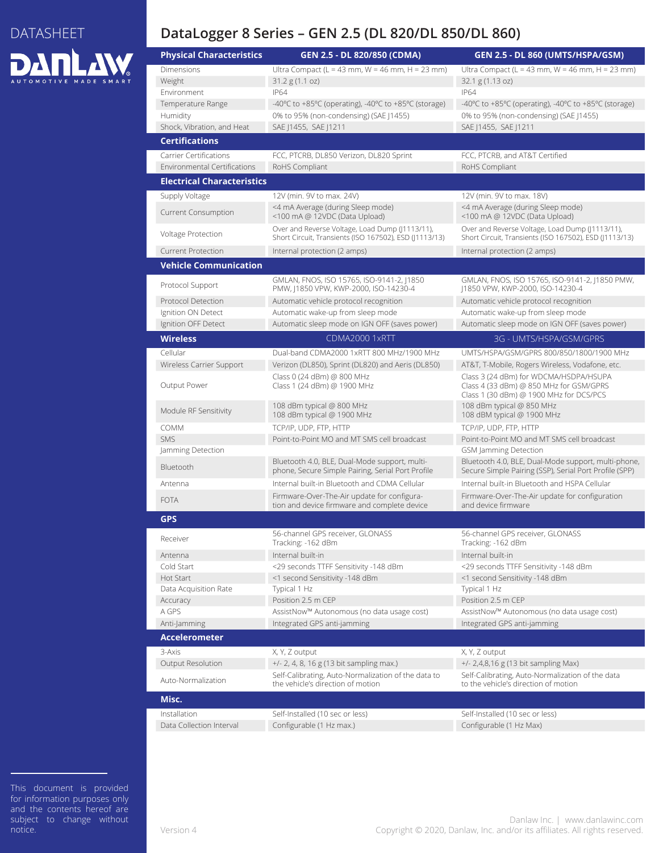# DATASHEET **DANLAW**

### **DataLogger 8 Series – GEN 2.5 (DL 820/DL 850/DL 860)**

| <b>Physical Characteristics</b>     | GEN 2.5 - DL 820/850 (CDMA)                                                                               | <b>GEN 2.5 - DL 860 (UMTS/HSPA/GSM)</b>                                                                                      |
|-------------------------------------|-----------------------------------------------------------------------------------------------------------|------------------------------------------------------------------------------------------------------------------------------|
| <b>Dimensions</b>                   | Ultra Compact (L = 43 mm, W = 46 mm, H = 23 mm)                                                           | Ultra Compact (L = 43 mm, W = 46 mm, H = 23 mm)                                                                              |
| Weight                              | 31.2 g(1.1 oz)                                                                                            | 32.1 g (1.13 oz)                                                                                                             |
| Environment                         | <b>IP64</b>                                                                                               | <b>IP64</b>                                                                                                                  |
| Temperature Range                   | -40°C to +85°C (operating), -40°C to +85°C (storage)                                                      | -40°C to +85°C (operating), -40°C to +85°C (storage)                                                                         |
| Humidity                            | 0% to 95% (non-condensing) (SAE J1455)                                                                    | 0% to 95% (non-condensing) (SAE J1455)                                                                                       |
| Shock, Vibration, and Heat          | SAE J1455, SAE J1211                                                                                      | SAE   1455, SAE   1211                                                                                                       |
| <b>Certifications</b>               |                                                                                                           |                                                                                                                              |
| Carrier Certifications              | FCC, PTCRB, DL850 Verizon, DL820 Sprint                                                                   | FCC, PTCRB, and AT&T Certified                                                                                               |
| <b>Environmental Certifications</b> | RoHS Compliant                                                                                            | RoHS Compliant                                                                                                               |
| <b>Electrical Characteristics</b>   |                                                                                                           |                                                                                                                              |
| Supply Voltage                      | 12V (min. 9V to max. 24V)                                                                                 | 12V (min. 9V to max. 18V)                                                                                                    |
|                                     | <4 mA Average (during Sleep mode)                                                                         | <4 mA Average (during Sleep mode)                                                                                            |
| <b>Current Consumption</b>          | <100 mA @ 12VDC (Data Upload)                                                                             | <100 mA @ 12VDC (Data Upload)                                                                                                |
| Voltage Protection                  | Over and Reverse Voltage, Load Dump (J1113/11),<br>Short Circuit, Transients (ISO 167502), ESD (J1113/13) | Over and Reverse Voltage, Load Dump (J1113/11),<br>Short Circuit, Transients (ISO 167502), ESD (J1113/13)                    |
| <b>Current Protection</b>           | Internal protection (2 amps)                                                                              | Internal protection (2 amps)                                                                                                 |
| <b>Vehicle Communication</b>        |                                                                                                           |                                                                                                                              |
| Protocol Support                    | GMLAN, FNOS, ISO 15765, ISO-9141-2, J1850<br>PMW,  1850 VPW, KWP-2000, ISO-14230-4                        | GMLAN, FNOS, ISO 15765, ISO-9141-2, J1850 PMW,<br>J1850 VPW, KWP-2000, ISO-14230-4                                           |
| Protocol Detection                  | Automatic vehicle protocol recognition                                                                    | Automatic vehicle protocol recognition                                                                                       |
| Ignition ON Detect                  | Automatic wake-up from sleep mode                                                                         | Automatic wake-up from sleep mode                                                                                            |
| Ignition OFF Detect                 | Automatic sleep mode on IGN OFF (saves power)                                                             | Automatic sleep mode on IGN OFF (saves power)                                                                                |
| <b>Wireless</b>                     | <b>CDMA2000 1xRTT</b>                                                                                     | 3G - UMTS/HSPA/GSM/GPRS                                                                                                      |
| Cellular                            | Dual-band CDMA2000 1xRTT 800 MHz/1900 MHz                                                                 | UMTS/HSPA/GSM/GPRS 800/850/1800/1900 MHz                                                                                     |
| Wireless Carrier Support            | Verizon (DL850), Sprint (DL820) and Aeris (DL850)                                                         | AT&T, T-Mobile, Rogers Wireless, Vodafone, etc.                                                                              |
| Output Power                        | Class 0 (24 dBm) @ 800 MHz<br>Class 1 (24 dBm) @ 1900 MHz                                                 | Class 3 (24 dBm) for WDCMA/HSDPA/HSUPA<br>Class 4 (33 dBm) @ 850 MHz for GSM/GPRS<br>Class 1 (30 dBm) @ 1900 MHz for DCS/PCS |
| Module RF Sensitivity               | 108 dBm typical @ 800 MHz<br>108 dBm typical @ 1900 MHz                                                   | 108 dBm typical @ 850 MHz<br>108 dBM typical @ 1900 MHz                                                                      |
| COMM                                | TCP/IP, UDP, FTP, HTTP                                                                                    | TCP/IP, UDP, FTP, HTTP                                                                                                       |
| <b>SMS</b>                          | Point-to-Point MO and MT SMS cell broadcast                                                               | Point-to-Point MO and MT SMS cell broadcast                                                                                  |
| Jamming Detection                   |                                                                                                           | <b>GSM</b> Jamming Detection                                                                                                 |
| Bluetooth                           | Bluetooth 4.0, BLE, Dual-Mode support, multi-<br>phone, Secure Simple Pairing, Serial Port Profile        | Bluetooth 4.0, BLE, Dual-Mode support, multi-phone,<br>Secure Simple Pairing (SSP), Serial Port Profile (SPP)                |
| Antenna                             | Internal built-in Bluetooth and CDMA Cellular                                                             | Internal built-in Bluetooth and HSPA Cellular                                                                                |
| <b>FOTA</b>                         | Firmware-Over-The-Air update for configura-<br>tion and device firmware and complete device               | Firmware-Over-The-Air update for configuration<br>and device firmware                                                        |
| <b>GPS</b>                          |                                                                                                           |                                                                                                                              |
| Receiver                            | 56-channel GPS receiver, GLONASS<br>Tracking: -162 dBm                                                    | 56-channel GPS receiver, GLONASS<br>Tracking: -162 dBm                                                                       |
| Antenna                             | Internal built-in                                                                                         | Internal built-in                                                                                                            |
| Cold Start                          | <29 seconds TTFF Sensitivity -148 dBm                                                                     | <29 seconds TTFF Sensitivity -148 dBm                                                                                        |
| <b>Hot Start</b>                    | <1 second Sensitivity -148 dBm                                                                            | <1 second Sensitivity -148 dBm                                                                                               |
| Data Acquisition Rate               | Typical 1 Hz                                                                                              | Typical 1 Hz                                                                                                                 |
| Accuracy                            | Position 2.5 m CEP                                                                                        | Position 2.5 m CEP                                                                                                           |
| A GPS                               | AssistNow™ Autonomous (no data usage cost)                                                                | AssistNow™ Autonomous (no data usage cost)                                                                                   |
| Anti-Jamming                        | Integrated GPS anti-jamming                                                                               | Integrated GPS anti-jamming                                                                                                  |
| <b>Accelerometer</b>                |                                                                                                           |                                                                                                                              |
| 3-Axis                              | X, Y, Z output                                                                                            | X, Y, Z output                                                                                                               |
| Output Resolution                   | +/- 2, 4, 8, 16 g (13 bit sampling max.)                                                                  | +/- 2,4,8,16 g (13 bit sampling Max)                                                                                         |
|                                     | Self-Calibrating, Auto-Normalization of the data to                                                       | Self-Calibrating, Auto-Normalization of the data                                                                             |
| Auto-Normalization                  | the vehicle's direction of motion                                                                         | to the vehicle's direction of motion                                                                                         |
| Misc.                               |                                                                                                           |                                                                                                                              |
| Installation                        | Self-Installed (10 sec or less)                                                                           | Self-Installed (10 sec or less)                                                                                              |
| Data Collection Interval            | Configurable (1 Hz max.)                                                                                  | Configurable (1 Hz Max)                                                                                                      |

This document is provided for information purposes only and the contents hereof are subject to change without notice.